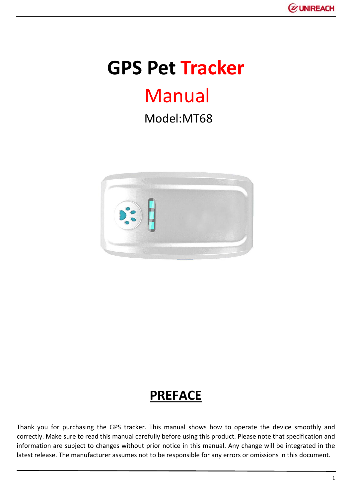

# **GPS Pet Tracker**

# Manual

Model:MT68



# **PREFACE**

Thank you for purchasing the GPS tracker. This manual shows how to operate the device smoothly and correctly. Make sure to read this manual carefully before using this product. Please note that specification and information are subject to changes without prior notice in this manual. Any change will be integrated in the latest release. The manufacturer assumes not to be responsible for any errors or omissions in this document.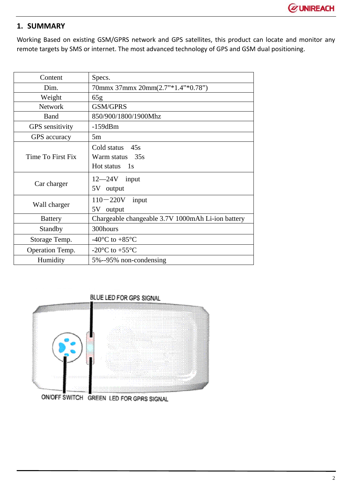## **1. SUMMARY**

Working Based on existing GSM/GPRS network and GPS satellites, this product can locate and monitor any remote targets by SMS or internet. The most advanced technology of GPS and GSM dual positioning.

| Content                | Specs.                                                 |
|------------------------|--------------------------------------------------------|
| Dim.                   | 70mmx 37mmx 20mm(2.7"*1.4"*0.78")                      |
| Weight                 | 65g                                                    |
| <b>Network</b>         | <b>GSM/GPRS</b>                                        |
| Band                   | 850/900/1800/1900Mhz                                   |
| <b>GPS</b> sensitivity | $-159dBm$                                              |
| GPS accuracy           | 5m                                                     |
| Time To First Fix      | Cold status<br>45s<br>Warm status 35s<br>Hot status 1s |
| Car charger            | $12 - 24V$ input<br>5V output                          |
| Wall charger           | $110 - 220V$<br>input<br>5V output                     |
| <b>Battery</b>         | Chargeable changeable 3.7V 1000mAh Li-ion battery      |
| Standby                | 300hours                                               |
| Storage Temp.          | -40 $^{\circ}$ C to +85 $^{\circ}$ C                   |
| Operation Temp.        | -20 $\rm{^{\circ}C}$ to +55 $\rm{^{\circ}C}$           |
| Humidity               | 5%--95% non-condensing                                 |

# BLUE LED FOR GPS SIGNAL



ON/OFF SWITCH GREEN LED FOR GPRS SIGNAL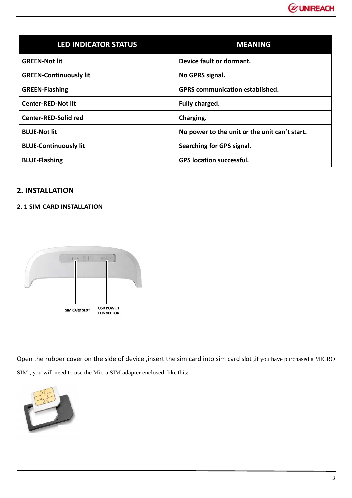

| <b>LED INDICATOR STATUS</b>   | <b>MEANING</b>                                |
|-------------------------------|-----------------------------------------------|
| <b>GREEN-Not lit</b>          | Device fault or dormant.                      |
| <b>GREEN-Continuously lit</b> | No GPRS signal.                               |
| <b>GREEN-Flashing</b>         | <b>GPRS</b> communication established.        |
| <b>Center-RED-Not lit</b>     | Fully charged.                                |
| <b>Center-RED-Solid red</b>   | Charging.                                     |
| <b>BLUE-Not lit</b>           | No power to the unit or the unit can't start. |
| <b>BLUE-Continuously lit</b>  | Searching for GPS signal.                     |
| <b>BLUE-Flashing</b>          | <b>GPS location successful.</b>               |

### **2. INSTALLATION**

#### **2. 1 SIM‐CARD INSTALLATION**



Open the rubber cover on the side of device ,insert the sim card into sim card slot ,if you have purchased a MICRO SIM , you will need to use the Micro SIM adapter enclosed, like this:

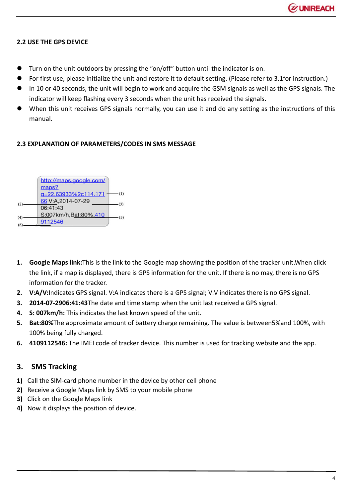#### **2.2 USE THE GPS DEVICE**

- Turn on the unit outdoors by pressing the "on/off" button until the indicator is on.
- For first use, please initialize the unit and restore it to default setting. (Please refer to 3.1for instruction.)
- In 10 or 40 seconds, the unit will begin to work and acquire the GSM signals as well as the GPS signals. The indicator will keep flashing every 3 seconds when the unit has received the signals.
- When this unit receives GPS signals normally, you can use it and do any setting as the instructions of this manual.

#### **2.3 EXPLANATION OF PARAMETERS/CODES IN SMS MESSAGE**



- **1. Google Maps link:**This is the link to the Google map showing the position of the tracker unit.When click the link, if a map is displayed, there is GPS information for the unit. If there is no may, there is no GPS information for the tracker.
- **2. V:A/V:**Indicates GPS signal. V:A indicates there is a GPS signal; V:V indicates there is no GPS signal.
- **3. 2014‐07‐2906:41:43**The date and time stamp when the unit last received a GPS signal.
- **4. S: 007km/h:** This indicates the last known speed of the unit.
- **5. Bat:80%**The approximate amount of battery charge remaining. The value is between5%and 100%, with 100% being fully charged.
- **6. 4109112546:** The IMEI code of tracker device. This number is used for tracking website and the app.

#### **3. SMS Tracking**

- **1)** Call the SIM‐card phone number in the device by other cell phone
- **2)** Receive a Google Maps link by SMS to your mobile phone
- **3)** Click on the Google Maps link
- **4)** Now it displays the position of device.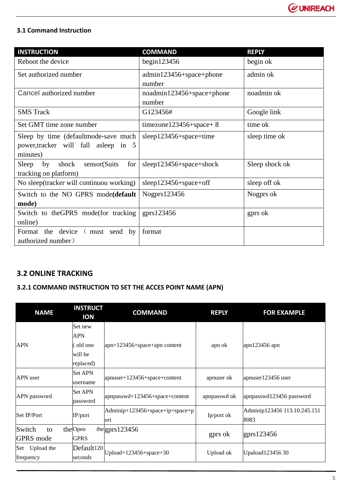

### **3.1 Command Instruction**

| <b>INSTRUCTION</b>                          | <b>COMMAND</b>            | <b>REPLY</b>   |
|---------------------------------------------|---------------------------|----------------|
| Reboot the device                           | begin $123456$            | begin ok       |
| Set authorized number                       | admin123456+space+phone   | admin ok       |
|                                             | number                    |                |
| Cancel authorized number                    | noadmin123456+space+phone | noadmin ok     |
|                                             | number                    |                |
| <b>SMS</b> Track                            | G123456#                  | Google link    |
| Set GMT time zone number                    | $timezone123456+space+8$  | time ok        |
| Sleep by time (default mode-save much       | sleep123456+space+time    | sleep time ok  |
| power, tracker will fall as leep in 5       |                           |                |
| minutes)                                    |                           |                |
| sensor(Suits<br>Sleep<br>by<br>shock<br>for | sleep123456+space+shock   | Sleep shock ok |
| tracking on platform)                       |                           |                |
| No sleep(tracker will continuou working)    | sleep123456+space+off     | sleep off ok   |
| Switch to the NO GPRS mode(default          | Nogprs123456              | Nogprs ok      |
| mode)                                       |                           |                |
| Switch to the GPRS mode (for tracking       | gprs $123456$             | gprs ok        |
| online)                                     |                           |                |
| the device<br>(must send<br>Format<br>by    | format                    |                |
| authorized number)                          |                           |                |

# **3.2 ONLINE TRACKING**

## **3.2.1 COMMAND INSTRUCTION TO SET THE ACCES POINT NAME (APN)**

| <b>NAME</b>                      | <b>INSTRUCT</b><br><b>ION</b>                            | <b>COMMAND</b>                         | <b>REPLY</b> | <b>FOR EXAMPLE</b>                   |
|----------------------------------|----------------------------------------------------------|----------------------------------------|--------------|--------------------------------------|
| APN                              | Set new<br><b>APN</b><br>old one<br>will be<br>replaced) | $apn+123456+space+apn content$         | apn ok       | apn123456 apn                        |
| APN user                         | <b>Set APN</b><br>username                               | apnuser+123456+space+content           | apnuser ok   | apnuser123456 user                   |
| APN password                     | <b>Set APN</b><br>password                               | $apnpasswd+123456+space+content$       | apnpasswd ok | apnpasswd123456 password             |
| Set IP/Port                      | $IP$ /port                                               | Adminip+123456+space+ip+space+p<br>ort | Ip/port ok   | Adminip123456 113.10.245.151<br>8083 |
| Switch<br>to<br><b>GPRS</b> mode | the Open<br><b>GPRS</b>                                  | the gprs $123456$                      | gprs ok      | gprs123456                           |
| Set Upload the<br>frequency      | Default <sub>120</sub><br>seconds                        | $Upload+123456+space+30$               | Upload ok    | Upaload12345630                      |